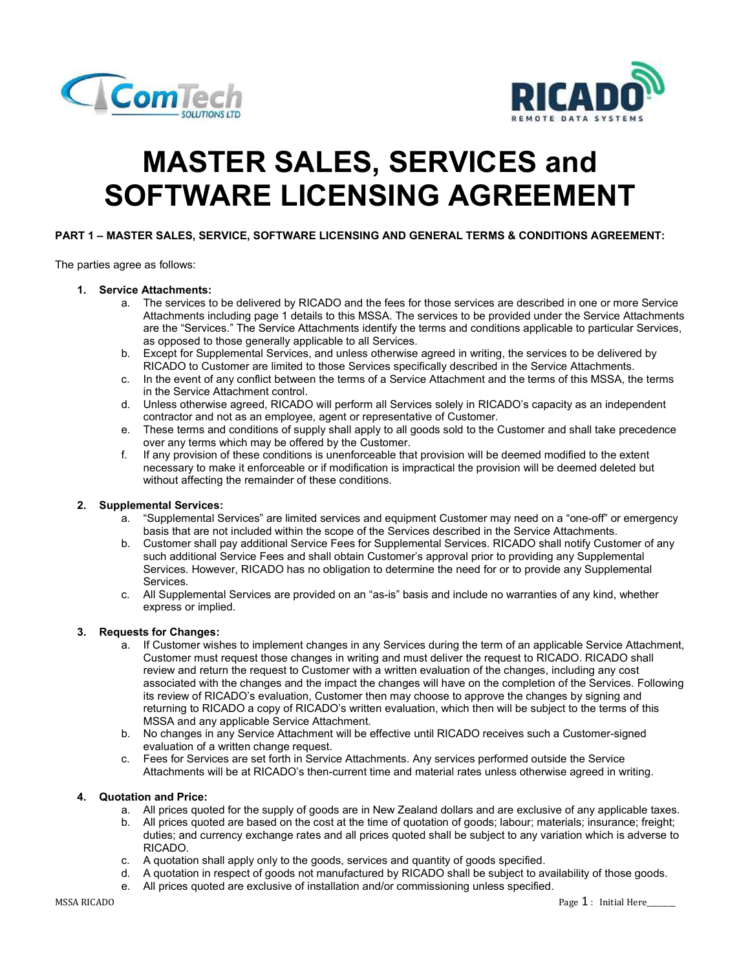



# MASTER SALES, SERVICES and SOFTWARE LICENSING AGREEMENT

# PART 1 – MASTER SALES, SERVICE, SOFTWARE LICENSING AND GENERAL TERMS & CONDITIONS AGREEMENT:

The parties agree as follows:

## 1. Service Attachments:

- a. The services to be delivered by RICADO and the fees for those services are described in one or more Service Attachments including page 1 details to this MSSA. The services to be provided under the Service Attachments are the "Services." The Service Attachments identify the terms and conditions applicable to particular Services, as opposed to those generally applicable to all Services.
- b. Except for Supplemental Services, and unless otherwise agreed in writing, the services to be delivered by RICADO to Customer are limited to those Services specifically described in the Service Attachments.
- c. In the event of any conflict between the terms of a Service Attachment and the terms of this MSSA, the terms in the Service Attachment control.
- d. Unless otherwise agreed, RICADO will perform all Services solely in RICADO's capacity as an independent contractor and not as an employee, agent or representative of Customer.
- e. These terms and conditions of supply shall apply to all goods sold to the Customer and shall take precedence over any terms which may be offered by the Customer.
- f. If any provision of these conditions is unenforceable that provision will be deemed modified to the extent necessary to make it enforceable or if modification is impractical the provision will be deemed deleted but without affecting the remainder of these conditions.

# 2. Supplemental Services:

- a. "Supplemental Services" are limited services and equipment Customer may need on a "one-off" or emergency basis that are not included within the scope of the Services described in the Service Attachments.
- b. Customer shall pay additional Service Fees for Supplemental Services. RICADO shall notify Customer of any such additional Service Fees and shall obtain Customer's approval prior to providing any Supplemental Services. However, RICADO has no obligation to determine the need for or to provide any Supplemental Services.
- c. All Supplemental Services are provided on an "as-is" basis and include no warranties of any kind, whether express or implied.

## 3. Requests for Changes:

- a. If Customer wishes to implement changes in any Services during the term of an applicable Service Attachment, Customer must request those changes in writing and must deliver the request to RICADO. RICADO shall review and return the request to Customer with a written evaluation of the changes, including any cost associated with the changes and the impact the changes will have on the completion of the Services. Following its review of RICADO's evaluation, Customer then may choose to approve the changes by signing and returning to RICADO a copy of RICADO's written evaluation, which then will be subject to the terms of this MSSA and any applicable Service Attachment.
- b. No changes in any Service Attachment will be effective until RICADO receives such a Customer-signed evaluation of a written change request.
- c. Fees for Services are set forth in Service Attachments. Any services performed outside the Service Attachments will be at RICADO's then-current time and material rates unless otherwise agreed in writing.

#### 4. Quotation and Price:

- a. All prices quoted for the supply of goods are in New Zealand dollars and are exclusive of any applicable taxes.
- b. All prices quoted are based on the cost at the time of quotation of goods; labour; materials; insurance; freight; duties; and currency exchange rates and all prices quoted shall be subject to any variation which is adverse to RICADO.
- c. A quotation shall apply only to the goods, services and quantity of goods specified.
- d. A quotation in respect of goods not manufactured by RICADO shall be subject to availability of those goods.
- e. All prices quoted are exclusive of installation and/or commissioning unless specified.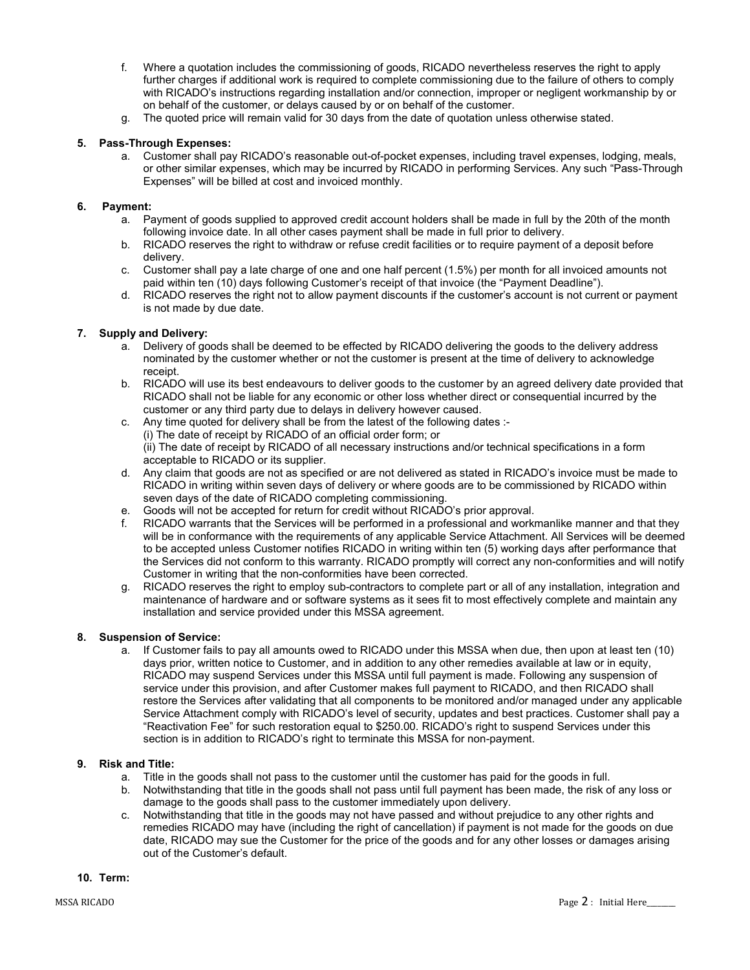- f. Where a quotation includes the commissioning of goods, RICADO nevertheless reserves the right to apply further charges if additional work is required to complete commissioning due to the failure of others to comply with RICADO's instructions regarding installation and/or connection, improper or negligent workmanship by or on behalf of the customer, or delays caused by or on behalf of the customer.
- g. The quoted price will remain valid for 30 days from the date of quotation unless otherwise stated.

# 5. Pass-Through Expenses:

a. Customer shall pay RICADO's reasonable out-of-pocket expenses, including travel expenses, lodging, meals, or other similar expenses, which may be incurred by RICADO in performing Services. Any such "Pass-Through Expenses" will be billed at cost and invoiced monthly.

## 6. Payment:

- a. Payment of goods supplied to approved credit account holders shall be made in full by the 20th of the month following invoice date. In all other cases payment shall be made in full prior to delivery.
- b. RICADO reserves the right to withdraw or refuse credit facilities or to require payment of a deposit before delivery.
- c. Customer shall pay a late charge of one and one half percent (1.5%) per month for all invoiced amounts not paid within ten (10) days following Customer's receipt of that invoice (the "Payment Deadline").
- d. RICADO reserves the right not to allow payment discounts if the customer's account is not current or payment is not made by due date.

# 7. Supply and Delivery:

- a. Delivery of goods shall be deemed to be effected by RICADO delivering the goods to the delivery address nominated by the customer whether or not the customer is present at the time of delivery to acknowledge receipt.
- b. RICADO will use its best endeavours to deliver goods to the customer by an agreed delivery date provided that RICADO shall not be liable for any economic or other loss whether direct or consequential incurred by the customer or any third party due to delays in delivery however caused.
- c. Any time quoted for delivery shall be from the latest of the following dates :-(i) The date of receipt by RICADO of an official order form; or (ii) The date of receipt by RICADO of all necessary instructions and/or technical specifications in a form acceptable to RICADO or its supplier.
- d. Any claim that goods are not as specified or are not delivered as stated in RICADO's invoice must be made to RICADO in writing within seven days of delivery or where goods are to be commissioned by RICADO within seven days of the date of RICADO completing commissioning.
- e. Goods will not be accepted for return for credit without RICADO's prior approval.
- RICADO warrants that the Services will be performed in a professional and workmanlike manner and that they will be in conformance with the requirements of any applicable Service Attachment. All Services will be deemed to be accepted unless Customer notifies RICADO in writing within ten (5) working days after performance that the Services did not conform to this warranty. RICADO promptly will correct any non-conformities and will notify Customer in writing that the non-conformities have been corrected.
- g. RICADO reserves the right to employ sub-contractors to complete part or all of any installation, integration and maintenance of hardware and or software systems as it sees fit to most effectively complete and maintain any installation and service provided under this MSSA agreement.

## 8. Suspension of Service:

a. If Customer fails to pay all amounts owed to RICADO under this MSSA when due, then upon at least ten (10) days prior, written notice to Customer, and in addition to any other remedies available at law or in equity, RICADO may suspend Services under this MSSA until full payment is made. Following any suspension of service under this provision, and after Customer makes full payment to RICADO, and then RICADO shall restore the Services after validating that all components to be monitored and/or managed under any applicable Service Attachment comply with RICADO's level of security, updates and best practices. Customer shall pay a "Reactivation Fee" for such restoration equal to \$250.00. RICADO's right to suspend Services under this section is in addition to RICADO's right to terminate this MSSA for non-payment.

## 9. Risk and Title:

- a. Title in the goods shall not pass to the customer until the customer has paid for the goods in full.
- b. Notwithstanding that title in the goods shall not pass until full payment has been made, the risk of any loss or damage to the goods shall pass to the customer immediately upon delivery.
- c. Notwithstanding that title in the goods may not have passed and without prejudice to any other rights and remedies RICADO may have (including the right of cancellation) if payment is not made for the goods on due date, RICADO may sue the Customer for the price of the goods and for any other losses or damages arising out of the Customer's default.

## 10. Term: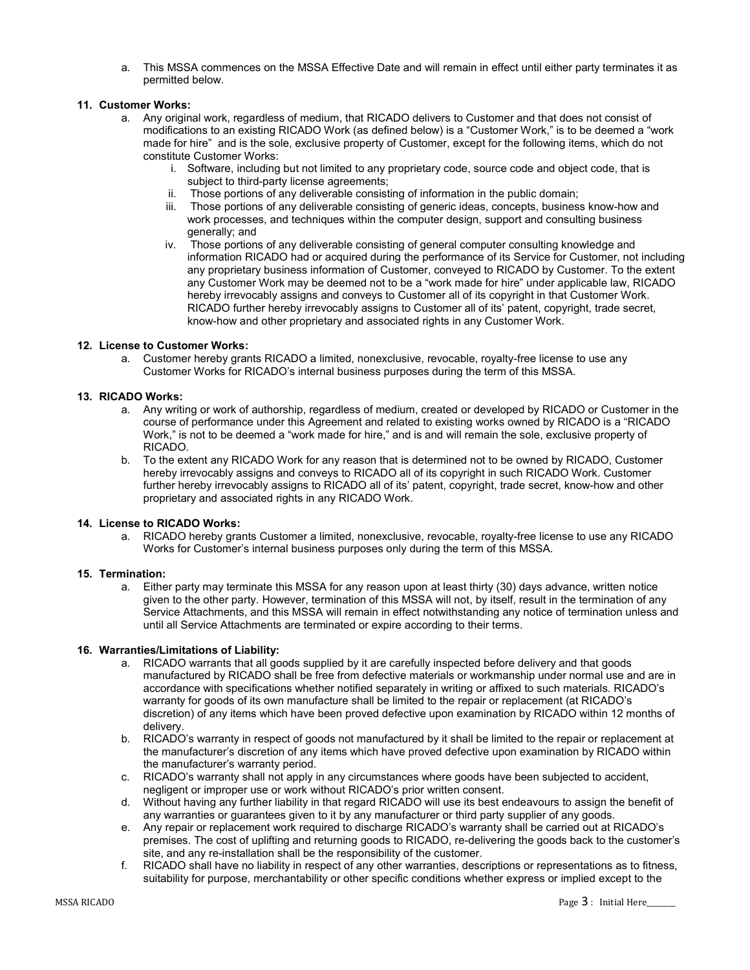a. This MSSA commences on the MSSA Effective Date and will remain in effect until either party terminates it as permitted below.

## 11. Customer Works:

- a. Any original work, regardless of medium, that RICADO delivers to Customer and that does not consist of modifications to an existing RICADO Work (as defined below) is a "Customer Work," is to be deemed a "work made for hire" and is the sole, exclusive property of Customer, except for the following items, which do not constitute Customer Works:
	- i. Software, including but not limited to any proprietary code, source code and object code, that is subject to third-party license agreements;
	- Those portions of any deliverable consisting of information in the public domain;
	- iii. Those portions of any deliverable consisting of generic ideas, concepts, business know-how and work processes, and techniques within the computer design, support and consulting business generally; and
	- iv. Those portions of any deliverable consisting of general computer consulting knowledge and information RICADO had or acquired during the performance of its Service for Customer, not including any proprietary business information of Customer, conveyed to RICADO by Customer. To the extent any Customer Work may be deemed not to be a "work made for hire" under applicable law, RICADO hereby irrevocably assigns and conveys to Customer all of its copyright in that Customer Work. RICADO further hereby irrevocably assigns to Customer all of its' patent, copyright, trade secret, know-how and other proprietary and associated rights in any Customer Work.

## 12. License to Customer Works:

a. Customer hereby grants RICADO a limited, nonexclusive, revocable, royalty-free license to use any Customer Works for RICADO's internal business purposes during the term of this MSSA.

## 13. RICADO Works:

- a. Any writing or work of authorship, regardless of medium, created or developed by RICADO or Customer in the course of performance under this Agreement and related to existing works owned by RICADO is a "RICADO Work," is not to be deemed a "work made for hire," and is and will remain the sole, exclusive property of RICADO.
- b. To the extent any RICADO Work for any reason that is determined not to be owned by RICADO, Customer hereby irrevocably assigns and conveys to RICADO all of its copyright in such RICADO Work. Customer further hereby irrevocably assigns to RICADO all of its' patent, copyright, trade secret, know-how and other proprietary and associated rights in any RICADO Work.

## 14. License to RICADO Works:

a. RICADO hereby grants Customer a limited, nonexclusive, revocable, royalty-free license to use any RICADO Works for Customer's internal business purposes only during the term of this MSSA.

## 15. Termination:

a. Either party may terminate this MSSA for any reason upon at least thirty (30) days advance, written notice given to the other party. However, termination of this MSSA will not, by itself, result in the termination of any Service Attachments, and this MSSA will remain in effect notwithstanding any notice of termination unless and until all Service Attachments are terminated or expire according to their terms.

## 16. Warranties/Limitations of Liability:

- a. RICADO warrants that all goods supplied by it are carefully inspected before delivery and that goods manufactured by RICADO shall be free from defective materials or workmanship under normal use and are in accordance with specifications whether notified separately in writing or affixed to such materials. RICADO's warranty for goods of its own manufacture shall be limited to the repair or replacement (at RICADO's discretion) of any items which have been proved defective upon examination by RICADO within 12 months of delivery.
- b. RICADO's warranty in respect of goods not manufactured by it shall be limited to the repair or replacement at the manufacturer's discretion of any items which have proved defective upon examination by RICADO within the manufacturer's warranty period.
- c. RICADO's warranty shall not apply in any circumstances where goods have been subjected to accident, negligent or improper use or work without RICADO's prior written consent.
- d. Without having any further liability in that regard RICADO will use its best endeavours to assign the benefit of any warranties or guarantees given to it by any manufacturer or third party supplier of any goods.
- e. Any repair or replacement work required to discharge RICADO's warranty shall be carried out at RICADO's premises. The cost of uplifting and returning goods to RICADO, re-delivering the goods back to the customer's site, and any re-installation shall be the responsibility of the customer.
- f. RICADO shall have no liability in respect of any other warranties, descriptions or representations as to fitness, suitability for purpose, merchantability or other specific conditions whether express or implied except to the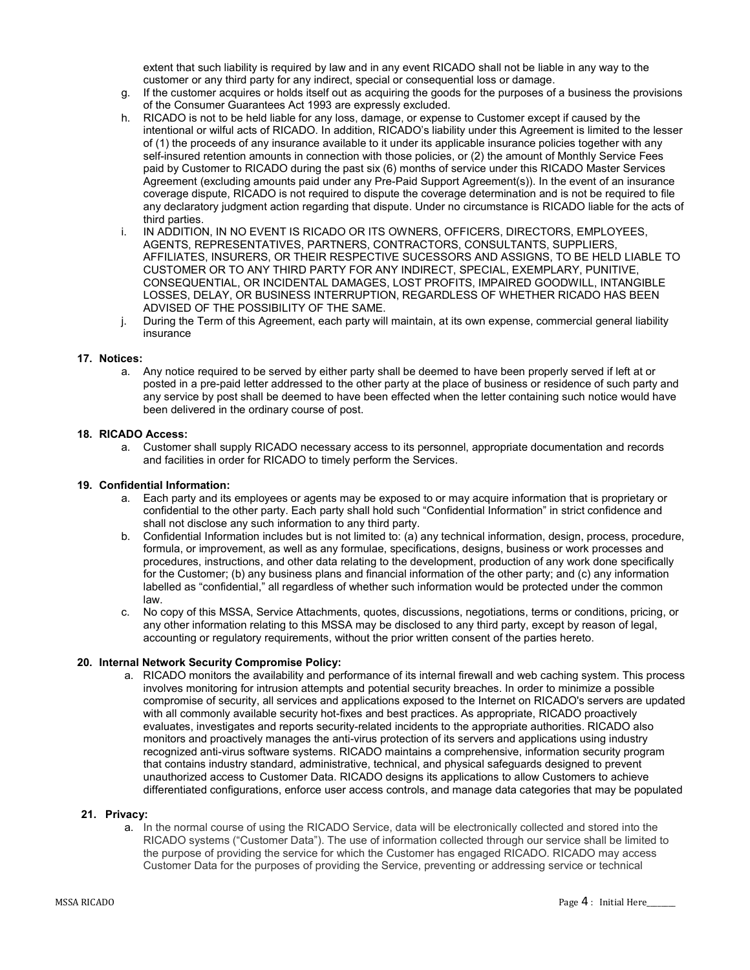extent that such liability is required by law and in any event RICADO shall not be liable in any way to the customer or any third party for any indirect, special or consequential loss or damage.

- g. If the customer acquires or holds itself out as acquiring the goods for the purposes of a business the provisions of the Consumer Guarantees Act 1993 are expressly excluded.
- h. RICADO is not to be held liable for any loss, damage, or expense to Customer except if caused by the intentional or wilful acts of RICADO. In addition, RICADO's liability under this Agreement is limited to the lesser of (1) the proceeds of any insurance available to it under its applicable insurance policies together with any self-insured retention amounts in connection with those policies, or (2) the amount of Monthly Service Fees paid by Customer to RICADO during the past six (6) months of service under this RICADO Master Services Agreement (excluding amounts paid under any Pre-Paid Support Agreement(s)). In the event of an insurance coverage dispute, RICADO is not required to dispute the coverage determination and is not be required to file any declaratory judgment action regarding that dispute. Under no circumstance is RICADO liable for the acts of third parties.
- i. IN ADDITION, IN NO EVENT IS RICADO OR ITS OWNERS, OFFICERS, DIRECTORS, EMPLOYEES, AGENTS, REPRESENTATIVES, PARTNERS, CONTRACTORS, CONSULTANTS, SUPPLIERS, AFFILIATES, INSURERS, OR THEIR RESPECTIVE SUCESSORS AND ASSIGNS, TO BE HELD LIABLE TO CUSTOMER OR TO ANY THIRD PARTY FOR ANY INDIRECT, SPECIAL, EXEMPLARY, PUNITIVE, CONSEQUENTIAL, OR INCIDENTAL DAMAGES, LOST PROFITS, IMPAIRED GOODWILL, INTANGIBLE LOSSES, DELAY, OR BUSINESS INTERRUPTION, REGARDLESS OF WHETHER RICADO HAS BEEN ADVISED OF THE POSSIBILITY OF THE SAME.
- j. During the Term of this Agreement, each party will maintain, at its own expense, commercial general liability insurance

## 17. Notices:

a. Any notice required to be served by either party shall be deemed to have been properly served if left at or posted in a pre-paid letter addressed to the other party at the place of business or residence of such party and any service by post shall be deemed to have been effected when the letter containing such notice would have been delivered in the ordinary course of post.

## 18. RICADO Access:

a. Customer shall supply RICADO necessary access to its personnel, appropriate documentation and records and facilities in order for RICADO to timely perform the Services.

## 19. Confidential Information:

- a. Each party and its employees or agents may be exposed to or may acquire information that is proprietary or confidential to the other party. Each party shall hold such "Confidential Information" in strict confidence and shall not disclose any such information to any third party.
- b. Confidential Information includes but is not limited to: (a) any technical information, design, process, procedure, formula, or improvement, as well as any formulae, specifications, designs, business or work processes and procedures, instructions, and other data relating to the development, production of any work done specifically for the Customer; (b) any business plans and financial information of the other party; and (c) any information labelled as "confidential," all regardless of whether such information would be protected under the common law.
- c. No copy of this MSSA, Service Attachments, quotes, discussions, negotiations, terms or conditions, pricing, or any other information relating to this MSSA may be disclosed to any third party, except by reason of legal, accounting or regulatory requirements, without the prior written consent of the parties hereto.

## 20. Internal Network Security Compromise Policy:

a. RICADO monitors the availability and performance of its internal firewall and web caching system. This process involves monitoring for intrusion attempts and potential security breaches. In order to minimize a possible compromise of security, all services and applications exposed to the Internet on RICADO's servers are updated with all commonly available security hot-fixes and best practices. As appropriate, RICADO proactively evaluates, investigates and reports security-related incidents to the appropriate authorities. RICADO also monitors and proactively manages the anti-virus protection of its servers and applications using industry recognized anti-virus software systems. RICADO maintains a comprehensive, information security program that contains industry standard, administrative, technical, and physical safeguards designed to prevent unauthorized access to Customer Data. RICADO designs its applications to allow Customers to achieve differentiated configurations, enforce user access controls, and manage data categories that may be populated

#### 21. Privacy:

a. In the normal course of using the RICADO Service, data will be electronically collected and stored into the RICADO systems ("Customer Data"). The use of information collected through our service shall be limited to the purpose of providing the service for which the Customer has engaged RICADO. RICADO may access Customer Data for the purposes of providing the Service, preventing or addressing service or technical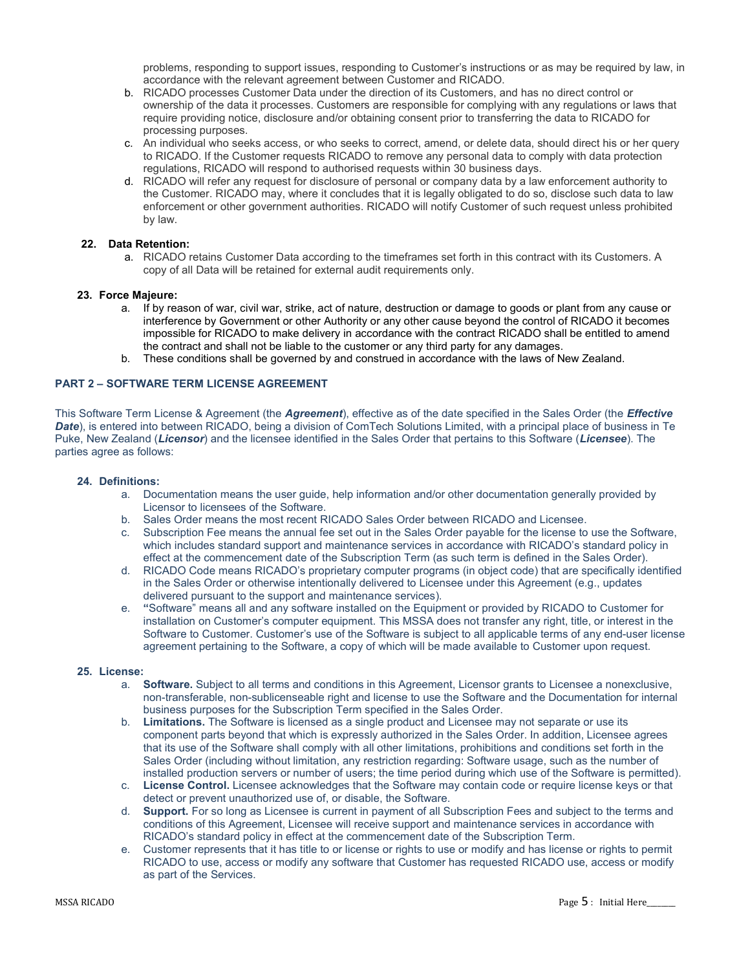problems, responding to support issues, responding to Customer's instructions or as may be required by law, in accordance with the relevant agreement between Customer and RICADO.

- b. RICADO processes Customer Data under the direction of its Customers, and has no direct control or ownership of the data it processes. Customers are responsible for complying with any regulations or laws that require providing notice, disclosure and/or obtaining consent prior to transferring the data to RICADO for processing purposes.
- c. An individual who seeks access, or who seeks to correct, amend, or delete data, should direct his or her query to RICADO. If the Customer requests RICADO to remove any personal data to comply with data protection regulations, RICADO will respond to authorised requests within 30 business days.
- d. RICADO will refer any request for disclosure of personal or company data by a law enforcement authority to the Customer. RICADO may, where it concludes that it is legally obligated to do so, disclose such data to law enforcement or other government authorities. RICADO will notify Customer of such request unless prohibited by law.

## 22. Data Retention:

a. RICADO retains Customer Data according to the timeframes set forth in this contract with its Customers. A copy of all Data will be retained for external audit requirements only.

## 23. Force Majeure:

- a. If by reason of war, civil war, strike, act of nature, destruction or damage to goods or plant from any cause or interference by Government or other Authority or any other cause beyond the control of RICADO it becomes impossible for RICADO to make delivery in accordance with the contract RICADO shall be entitled to amend the contract and shall not be liable to the customer or any third party for any damages.
- b. These conditions shall be governed by and construed in accordance with the laws of New Zealand.

# PART 2 – SOFTWARE TERM LICENSE AGREEMENT

This Software Term License & Agreement (the Agreement), effective as of the date specified in the Sales Order (the *Effective* Date), is entered into between RICADO, being a division of ComTech Solutions Limited, with a principal place of business in Te Puke, New Zealand (Licensor) and the licensee identified in the Sales Order that pertains to this Software (Licensee). The parties agree as follows:

#### 24. Definitions:

- a. Documentation means the user guide, help information and/or other documentation generally provided by Licensor to licensees of the Software.
- b. Sales Order means the most recent RICADO Sales Order between RICADO and Licensee.
- c. Subscription Fee means the annual fee set out in the Sales Order payable for the license to use the Software, which includes standard support and maintenance services in accordance with RICADO's standard policy in effect at the commencement date of the Subscription Term (as such term is defined in the Sales Order).
- d. RICADO Code means RICADO's proprietary computer programs (in object code) that are specifically identified in the Sales Order or otherwise intentionally delivered to Licensee under this Agreement (e.g., updates delivered pursuant to the support and maintenance services).
- e. "Software" means all and any software installed on the Equipment or provided by RICADO to Customer for installation on Customer's computer equipment. This MSSA does not transfer any right, title, or interest in the Software to Customer. Customer's use of the Software is subject to all applicable terms of any end-user license agreement pertaining to the Software, a copy of which will be made available to Customer upon request.

#### 25. License:

- a. Software. Subject to all terms and conditions in this Agreement, Licensor grants to Licensee a nonexclusive, non-transferable, non-sublicenseable right and license to use the Software and the Documentation for internal business purposes for the Subscription Term specified in the Sales Order.
- b. Limitations. The Software is licensed as a single product and Licensee may not separate or use its component parts beyond that which is expressly authorized in the Sales Order. In addition, Licensee agrees that its use of the Software shall comply with all other limitations, prohibitions and conditions set forth in the Sales Order (including without limitation, any restriction regarding: Software usage, such as the number of installed production servers or number of users; the time period during which use of the Software is permitted).
- c. License Control. Licensee acknowledges that the Software may contain code or require license keys or that detect or prevent unauthorized use of, or disable, the Software.
- d. Support. For so long as Licensee is current in payment of all Subscription Fees and subject to the terms and conditions of this Agreement, Licensee will receive support and maintenance services in accordance with RICADO's standard policy in effect at the commencement date of the Subscription Term.
- e. Customer represents that it has title to or license or rights to use or modify and has license or rights to permit RICADO to use, access or modify any software that Customer has requested RICADO use, access or modify as part of the Services.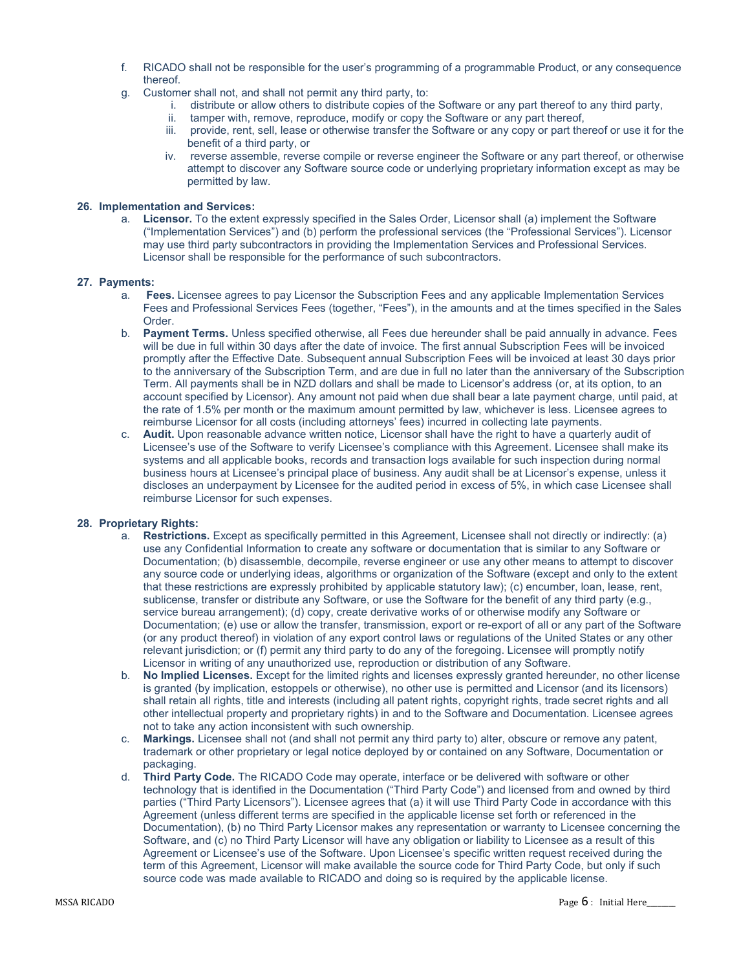- f. RICADO shall not be responsible for the user's programming of a programmable Product, or any consequence thereof.
- g. Customer shall not, and shall not permit any third party, to:
	- i. distribute or allow others to distribute copies of the Software or any part thereof to any third party,
	- ii. tamper with, remove, reproduce, modify or copy the Software or any part thereof,
	- iii. provide, rent, sell, lease or otherwise transfer the Software or any copy or part thereof or use it for the benefit of a third party, or
	- iv. reverse assemble, reverse compile or reverse engineer the Software or any part thereof, or otherwise attempt to discover any Software source code or underlying proprietary information except as may be permitted by law.

## 26. Implementation and Services:

a. Licensor. To the extent expressly specified in the Sales Order, Licensor shall (a) implement the Software ("Implementation Services") and (b) perform the professional services (the "Professional Services"). Licensor may use third party subcontractors in providing the Implementation Services and Professional Services. Licensor shall be responsible for the performance of such subcontractors.

#### 27. Payments:

- a. Fees. Licensee agrees to pay Licensor the Subscription Fees and any applicable Implementation Services Fees and Professional Services Fees (together, "Fees"), in the amounts and at the times specified in the Sales Order.
- b. Payment Terms. Unless specified otherwise, all Fees due hereunder shall be paid annually in advance. Fees will be due in full within 30 days after the date of invoice. The first annual Subscription Fees will be invoiced promptly after the Effective Date. Subsequent annual Subscription Fees will be invoiced at least 30 days prior to the anniversary of the Subscription Term, and are due in full no later than the anniversary of the Subscription Term. All payments shall be in NZD dollars and shall be made to Licensor's address (or, at its option, to an account specified by Licensor). Any amount not paid when due shall bear a late payment charge, until paid, at the rate of 1.5% per month or the maximum amount permitted by law, whichever is less. Licensee agrees to reimburse Licensor for all costs (including attorneys' fees) incurred in collecting late payments.
- c. Audit. Upon reasonable advance written notice, Licensor shall have the right to have a quarterly audit of Licensee's use of the Software to verify Licensee's compliance with this Agreement. Licensee shall make its systems and all applicable books, records and transaction logs available for such inspection during normal business hours at Licensee's principal place of business. Any audit shall be at Licensor's expense, unless it discloses an underpayment by Licensee for the audited period in excess of 5%, in which case Licensee shall reimburse Licensor for such expenses.

#### 28. Proprietary Rights:

- a. Restrictions. Except as specifically permitted in this Agreement, Licensee shall not directly or indirectly: (a) use any Confidential Information to create any software or documentation that is similar to any Software or Documentation; (b) disassemble, decompile, reverse engineer or use any other means to attempt to discover any source code or underlying ideas, algorithms or organization of the Software (except and only to the extent that these restrictions are expressly prohibited by applicable statutory law); (c) encumber, loan, lease, rent, sublicense, transfer or distribute any Software, or use the Software for the benefit of any third party (e.g., service bureau arrangement); (d) copy, create derivative works of or otherwise modify any Software or Documentation; (e) use or allow the transfer, transmission, export or re-export of all or any part of the Software (or any product thereof) in violation of any export control laws or regulations of the United States or any other relevant jurisdiction; or (f) permit any third party to do any of the foregoing. Licensee will promptly notify Licensor in writing of any unauthorized use, reproduction or distribution of any Software.
- b. No Implied Licenses. Except for the limited rights and licenses expressly granted hereunder, no other license is granted (by implication, estoppels or otherwise), no other use is permitted and Licensor (and its licensors) shall retain all rights, title and interests (including all patent rights, copyright rights, trade secret rights and all other intellectual property and proprietary rights) in and to the Software and Documentation. Licensee agrees not to take any action inconsistent with such ownership.
- c. Markings. Licensee shall not (and shall not permit any third party to) alter, obscure or remove any patent, trademark or other proprietary or legal notice deployed by or contained on any Software, Documentation or packaging.
- d. Third Party Code. The RICADO Code may operate, interface or be delivered with software or other technology that is identified in the Documentation ("Third Party Code") and licensed from and owned by third parties ("Third Party Licensors"). Licensee agrees that (a) it will use Third Party Code in accordance with this Agreement (unless different terms are specified in the applicable license set forth or referenced in the Documentation), (b) no Third Party Licensor makes any representation or warranty to Licensee concerning the Software, and (c) no Third Party Licensor will have any obligation or liability to Licensee as a result of this Agreement or Licensee's use of the Software. Upon Licensee's specific written request received during the term of this Agreement, Licensor will make available the source code for Third Party Code, but only if such source code was made available to RICADO and doing so is required by the applicable license.